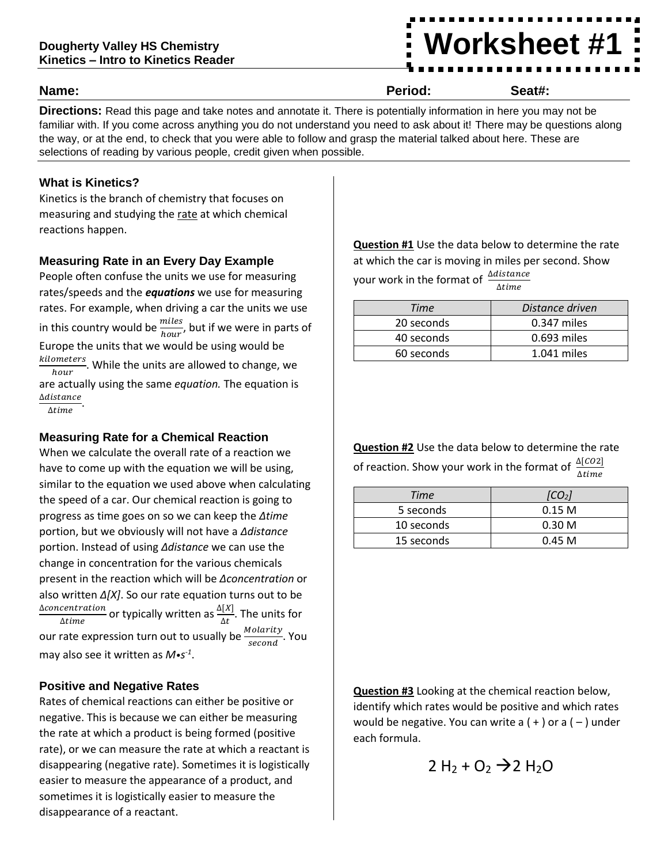# **Worksheet #1**

#### **Name: Period: Seat#:**

**Directions:** Read this page and take notes and annotate it. There is potentially information in here you may not be familiar with. If you come across anything you do not understand you need to ask about it! There may be questions along the way, or at the end, to check that you were able to follow and grasp the material talked about here. These are selections of reading by various people, credit given when possible.

## **What is Kinetics?**

Kinetics is the branch of chemistry that focuses on measuring and studying the rate at which chemical reactions happen.

## **Measuring Rate in an Every Day Example**

People often confuse the units we use for measuring rates/speeds and the *equations* we use for measuring rates. For example, when driving a car the units we use in this country would be  $\frac{miles}{hour}$ , but if we were in parts of Europe the units that we would be using would be kilometers  $\frac{meters}{hour}$ . While the units are allowed to change, we are actually using the same *equation.* The equation is ∆

 $\Delta time$ 

# **Measuring Rate for a Chemical Reaction**

When we calculate the overall rate of a reaction we have to come up with the equation we will be using, similar to the equation we used above when calculating the speed of a car. Our chemical reaction is going to progress as time goes on so we can keep the *∆time* portion, but we obviously will not have a *∆distance*  portion. Instead of using *∆distance* we can use the change in concentration for the various chemicals present in the reaction which will be *∆concentration* or also written *∆[X]*. So our rate equation turns out to be <u>∆concentration</u> or typically written as  $\frac{\Delta[X]}{\Delta t}$ . The units for our rate expression turn out to usually be  $\frac{Molarity}{second}$ . You may also see it written as *M•s -1* .

## **Positive and Negative Rates**

Rates of chemical reactions can either be positive or negative. This is because we can either be measuring the rate at which a product is being formed (positive rate), or we can measure the rate at which a reactant is disappearing (negative rate). Sometimes it is logistically easier to measure the appearance of a product, and sometimes it is logistically easier to measure the disappearance of a reactant.

**Question #1** Use the data below to determine the rate at which the car is moving in miles per second. Show your work in the format of  $\frac{\Delta distance}{\Delta time}$ 

| Time       | Distance driven |
|------------|-----------------|
| 20 seconds | $0.347$ miles   |
| 40 seconds | $0.693$ miles   |
| 60 seconds | 1.041 miles     |

**Question #2** Use the data below to determine the rate of reaction. Show your work in the format of  $\frac{\Delta[CO2]}{\Delta time}$ 

| Time       | [CO <sub>2</sub> ] |
|------------|--------------------|
| 5 seconds  | 0.15 <sub>M</sub>  |
| 10 seconds | 0.30 <sub>M</sub>  |
| 15 seconds | 0.45 M             |

**Question #3** Looking at the chemical reaction below, identify which rates would be positive and which rates would be negative. You can write a  $(+)$  or a  $(-)$  under each formula.

$$
2 H_2 + O_2 \rightarrow 2 H_2 O
$$